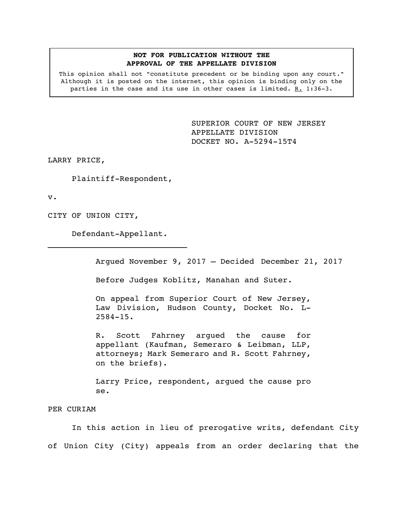## **NOT FOR PUBLICATION WITHOUT THE APPROVAL OF THE APPELLATE DIVISION**

This opinion shall not "constitute precedent or be binding upon any court." Although it is posted on the internet, this opinion is binding only on the parties in the case and its use in other cases is limited. R. 1:36-3.

> SUPERIOR COURT OF NEW JERSEY APPELLATE DIVISION DOCKET NO. A-5294-15T4

LARRY PRICE,

Plaintiff-Respondent,

v.

CITY OF UNION CITY,

Defendant-Appellant.  $\mathcal{L}_\text{max}$ 

Argued November 9, 2017 – Decided December 21, 2017

Before Judges Koblitz, Manahan and Suter.

On appeal from Superior Court of New Jersey, Law Division, Hudson County, Docket No. L-2584-15.

R. Scott Fahrney argued the cause for appellant (Kaufman, Semeraro & Leibman, LLP, attorneys; Mark Semeraro and R. Scott Fahrney, on the briefs).

Larry Price, respondent, argued the cause pro se.

PER CURIAM

In this action in lieu of prerogative writs, defendant City of Union City (City) appeals from an order declaring that the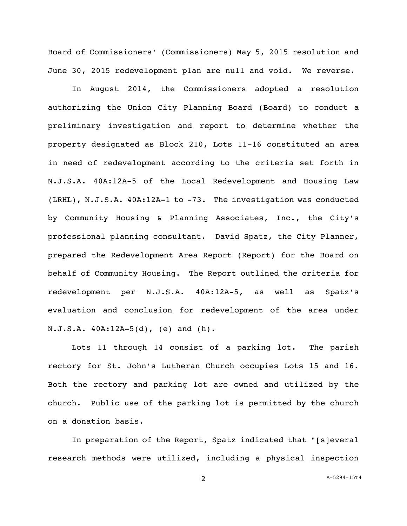Board of Commissioners' (Commissioners) May 5, 2015 resolution and June 30, 2015 redevelopment plan are null and void. We reverse.

In August 2014, the Commissioners adopted a resolution authorizing the Union City Planning Board (Board) to conduct a preliminary investigation and report to determine whether the property designated as Block 210, Lots 11-16 constituted an area in need of redevelopment according to the criteria set forth in N.J.S.A. 40A:12A-5 of the Local Redevelopment and Housing Law (LRHL), N.J.S.A. 40A:12A-1 to -73. The investigation was conducted by Community Housing & Planning Associates, Inc., the City's professional planning consultant. David Spatz, the City Planner, prepared the Redevelopment Area Report (Report) for the Board on behalf of Community Housing. The Report outlined the criteria for redevelopment per N.J.S.A. 40A:12A-5, as well as Spatz's evaluation and conclusion for redevelopment of the area under N.J.S.A. 40A:12A-5(d), (e) and (h).

Lots 11 through 14 consist of a parking lot**.** The parish rectory for St. John's Lutheran Church occupies Lots 15 and 16. Both the rectory and parking lot are owned and utilized by the church. Public use of the parking lot is permitted by the church on a donation basis.

In preparation of the Report, Spatz indicated that "[s]everal research methods were utilized, including a physical inspection

2 A-5294-15T4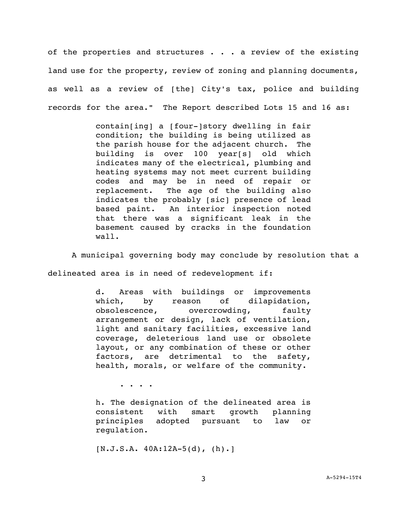of the properties and structures . . . a review of the existing land use for the property, review of zoning and planning documents, as well as a review of [the] City's tax, police and building records for the area." The Report described Lots 15 and 16 as:

> contain[ing] a [four-]story dwelling in fair condition; the building is being utilized as the parish house for the adjacent church. The building is over 100 year[s] old which indicates many of the electrical, plumbing and heating systems may not meet current building codes and may be in need of repair or replacement. The age of the building also indicates the probably [sic] presence of lead based paint. An interior inspection noted that there was a significant leak in the basement caused by cracks in the foundation wall.

A municipal governing body may conclude by resolution that a

delineated area is in need of redevelopment if:

d. Areas with buildings or improvements which, by reason of dilapidation, obsolescence, overcrowding, faulty arrangement or design, lack of ventilation, light and sanitary facilities, excessive land coverage, deleterious land use or obsolete layout, or any combination of these or other factors, are detrimental to the safety, health, morals, or welfare of the community.

. . . .

h. The designation of the delineated area is consistent with smart growth planning principles adopted pursuant to law or regulation.

[N.J.S.A. 40A:12A-5(d), (h).]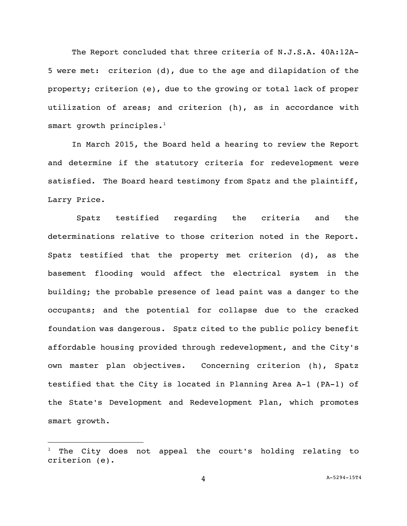The Report concluded that three criteria of N.J.S.A. 40A:12A-5 were met: criterion (d), due to the age and dilapidation of the property; criterion (e), due to the growing or total lack of proper utilization of areas; and criterion (h), as in accordance with smart growth principles. $<sup>1</sup>$ </sup>

In March 2015, the Board held a hearing to review the Report and determine if the statutory criteria for redevelopment were satisfied. The Board heard testimony from Spatz and the plaintiff, Larry Price.

Spatz testified regarding the criteria and the determinations relative to those criterion noted in the Report. Spatz testified that the property met criterion (d), as the basement flooding would affect the electrical system in the building; the probable presence of lead paint was a danger to the occupants; and the potential for collapse due to the cracked foundation was dangerous. Spatz cited to the public policy benefit affordable housing provided through redevelopment, and the City's own master plan objectives. Concerning criterion (h), Spatz testified that the City is located in Planning Area A-1 (PA-1) of the State's Development and Redevelopment Plan, which promotes smart growth.

i<br>L

The City does not appeal the court's holding relating to criterion (e).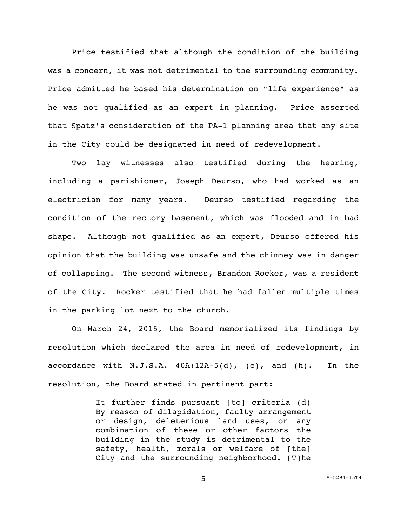Price testified that although the condition of the building was a concern, it was not detrimental to the surrounding community. Price admitted he based his determination on "life experience" as he was not qualified as an expert in planning.Price asserted that Spatz's consideration of the PA-1 planning area that any site in the City could be designated in need of redevelopment.

Two lay witnesses also testified during the hearing, including a parishioner, Joseph Deurso, who had worked as an electrician for many years. Deurso testified regarding the condition of the rectory basement, which was flooded and in bad shape. Although not qualified as an expert, Deurso offered his opinion that the building was unsafe and the chimney was in danger of collapsing. The second witness, Brandon Rocker, was a resident of the City. Rocker testified that he had fallen multiple times in the parking lot next to the church.

On March 24, 2015, the Board memorialized its findings by resolution which declared the area in need of redevelopment, in accordance with N.J.S.A. 40A:12A-5(d), (e), and (h). In the resolution, the Board stated in pertinent part:

> It further finds pursuant [to] criteria (d) By reason of dilapidation, faulty arrangement or design, deleterious land uses, or any combination of these or other factors the building in the study is detrimental to the safety, health, morals or welfare of [the] City and the surrounding neighborhood. [T]he

> > 5 A-5294-15T4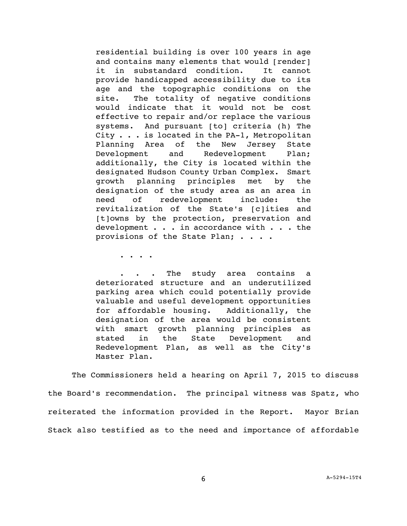residential building is over 100 years in age and contains many elements that would [render] it in substandard condition. It cannot provide handicapped accessibility due to its age and the topographic conditions on the site. The totality of negative conditions would indicate that it would not be cost effective to repair and/or replace the various systems. And pursuant [to] criteria (h) The City . . . is located in the PA-1, Metropolitan Planning Area of the New Jersey State Development and Redevelopment Plan; additionally, the City is located within the designated Hudson County Urban Complex. Smart growth planning principles met by the designation of the study area as an area in need of redevelopment include: the revitalization of the State's [c]ities and [t]owns by the protection, preservation and development . . . in accordance with . . . the provisions of the State Plan; . . . .

. . . .

. . . The study area contains a deteriorated structure and an underutilized parking area which could potentially provide valuable and useful development opportunities for affordable housing. Additionally, the designation of the area would be consistent with smart growth planning principles as stated in the State Development and Redevelopment Plan, as well as the City's Master Plan.

The Commissioners held a hearing on April 7, 2015 to discuss the Board's recommendation. The principal witness was Spatz, who reiterated the information provided in the Report. Mayor Brian Stack also testified as to the need and importance of affordable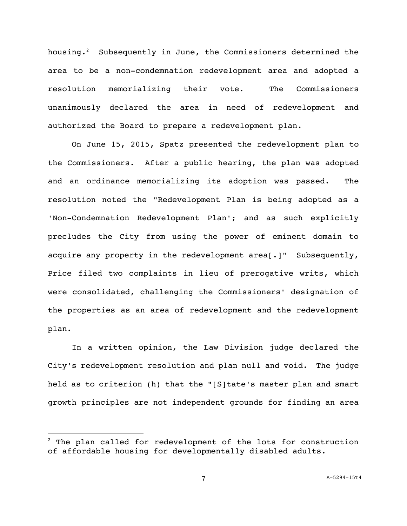housing.<sup>2</sup> Subsequently in June, the Commissioners determined the area to be a non-condemnation redevelopment area and adopted a resolution memorializing their vote. The Commissioners unanimously declared the area in need of redevelopment and authorized the Board to prepare a redevelopment plan.

On June 15, 2015, Spatz presented the redevelopment plan to the Commissioners. After a public hearing, the plan was adopted and an ordinance memorializing its adoption was passed. The resolution noted the "Redevelopment Plan is being adopted as a 'Non-Condemnation Redevelopment Plan'; and as such explicitly precludes the City from using the power of eminent domain to acquire any property in the redevelopment area[.]" Subsequently, Price filed two complaints in lieu of prerogative writs, which were consolidated, challenging the Commissioners' designation of the properties as an area of redevelopment and the redevelopment plan.

In a written opinion, the Law Division judge declared the City's redevelopment resolution and plan null and void. The judge held as to criterion (h) that the "[S]tate's master plan and smart growth principles are not independent grounds for finding an area

i<br>L

 $2$  The plan called for redevelopment of the lots for construction of affordable housing for developmentally disabled adults.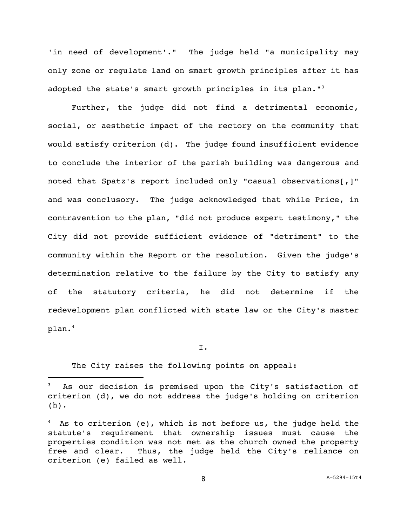'in need of development'." The judge held "a municipality may only zone or regulate land on smart growth principles after it has adopted the state's smart growth principles in its plan."<sup>3</sup>

Further, the judge did not find a detrimental economic, social, or aesthetic impact of the rectory on the community that would satisfy criterion (d). The judge found insufficient evidence to conclude the interior of the parish building was dangerous and noted that Spatz's report included only "casual observations[,]" and was conclusory. The judge acknowledged that while Price, in contravention to the plan, "did not produce expert testimony," the City did not provide sufficient evidence of "detriment" to the community within the Report or the resolution. Given the judge's determination relative to the failure by the City to satisfy any of the statutory criteria, he did not determine if the redevelopment plan conflicted with state law or the City's master plan.<sup>4</sup>

I.

The City raises the following points on appeal:

i<br>L

As our decision is premised upon the City's satisfaction of criterion (d), we do not address the judge's holding on criterion (h).

 $4$  As to criterion (e), which is not before us, the judge held the statute's requirement that ownership issues must cause the properties condition was not met as the church owned the property free and clear. Thus, the judge held the City's reliance on criterion (e) failed as well.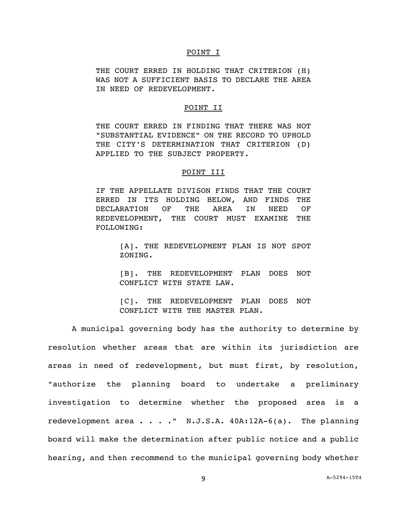#### POINT I

THE COURT ERRED IN HOLDING THAT CRITERION (H) WAS NOT A SUFFICIENT BASIS TO DECLARE THE AREA IN NEED OF REDEVELOPMENT.

### POINT II

THE COURT ERRED IN FINDING THAT THERE WAS NOT "SUBSTANTIAL EVIDENCE" ON THE RECORD TO UPHOLD THE CITY'S DETERMINATION THAT CRITERION (D) APPLIED TO THE SUBJECT PROPERTY.

# POINT III

IF THE APPELLATE DIVISON FINDS THAT THE COURT ERRED IN ITS HOLDING BELOW, AND FINDS THE DECLARATION OF THE AREA IN NEED OF REDEVELOPMENT, THE COURT MUST EXAMINE THE FOLLOWING:

> [A]. THE REDEVELOPMENT PLAN IS NOT SPOT ZONING.

> [B]. THE REDEVELOPMENT PLAN DOES NOT CONFLICT WITH STATE LAW.

> [C]. THE REDEVELOPMENT PLAN DOES NOT CONFLICT WITH THE MASTER PLAN.

A municipal governing body has the authority to determine by resolution whether areas that are within its jurisdiction are areas in need of redevelopment, but must first, by resolution, "authorize the planning board to undertake a preliminary investigation to determine whether the proposed area is a redevelopment area . . . . " N.J.S.A. 40A:12A-6(a). The planning board will make the determination after public notice and a public hearing, and then recommend to the municipal governing body whether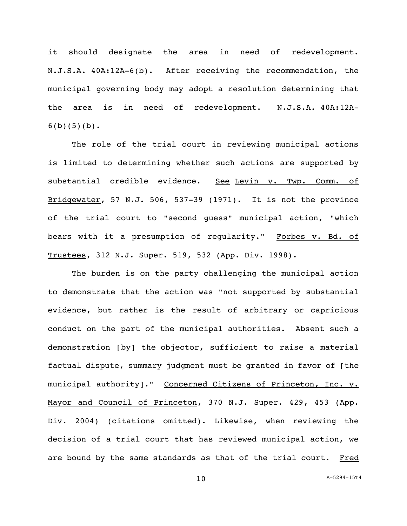it should designate the area in need of redevelopment. N.J.S.A. 40A:12A-6(b). After receiving the recommendation, the municipal governing body may adopt a resolution determining that the area is in need of redevelopment. N.J.S.A. 40A:12A- $6(b)(5)(b)$ .

The role of the trial court in reviewing municipal actions is limited to determining whether such actions are supported by substantial credible evidence. See Levin v. Twp. Comm. of Bridgewater, 57 N.J. 506, 537-39 (1971). It is not the province of the trial court to "second guess" municipal action, "which bears with it a presumption of regularity." Forbes v. Bd. of Trustees, 312 N.J. Super. 519, 532 (App. Div. 1998).

The burden is on the party challenging the municipal action to demonstrate that the action was "not supported by substantial evidence, but rather is the result of arbitrary or capricious conduct on the part of the municipal authorities. Absent such a demonstration [by] the objector, sufficient to raise a material factual dispute, summary judgment must be granted in favor of [the municipal authority]." Concerned Citizens of Princeton, Inc. v. Mayor and Council of Princeton, 370 N.J. Super. 429, 453 (App. Div. 2004) (citations omitted). Likewise, when reviewing the decision of a trial court that has reviewed municipal action, we are bound by the same standards as that of the trial court. Fred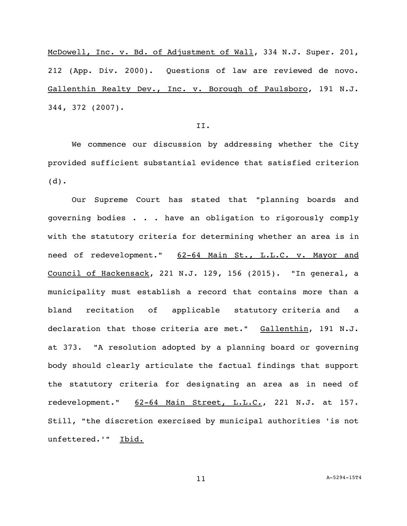McDowell, Inc. v. Bd. of Adjustment of Wall, 334 N.J. Super. 201, 212 (App. Div. 2000). Questions of law are reviewed de novo. Gallenthin Realty Dev., Inc. v. Borough of Paulsboro, 191 N.J. 344, 372 (2007).

### II.

We commence our discussion by addressing whether the City provided sufficient substantial evidence that satisfied criterion (d).

Our Supreme Court has stated that "planning boards and governing bodies . . . have an obligation to rigorously comply with the statutory criteria for determining whether an area is in need of redevelopment." 62-64 Main St., L.L.C. v. Mayor and Council of Hackensack, 221 N.J. 129, 156 (2015). "In general, a municipality must establish a record that contains more than a bland recitation of applicable statutory criteria and a declaration that those criteria are met." Gallenthin, 191 N.J. at 373. "A resolution adopted by a planning board or governing body should clearly articulate the factual findings that support the statutory criteria for designating an area as in need of redevelopment." 62-64 Main Street, L.L.C., 221 N.J. at 157. Still, "the discretion exercised by municipal authorities 'is not unfettered.'" Ibid.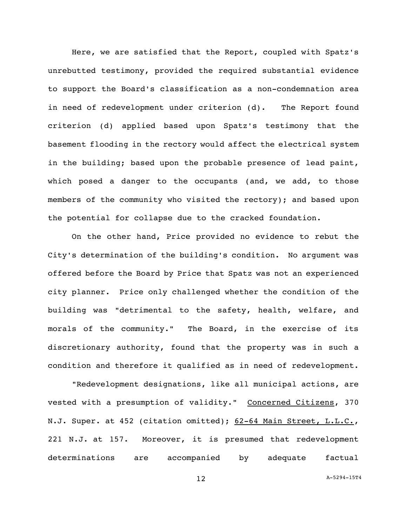Here, we are satisfied that the Report, coupled with Spatz's unrebutted testimony, provided the required substantial evidence to support the Board's classification as a non-condemnation area in need of redevelopment under criterion (d). The Report found criterion (d) applied based upon Spatz's testimony that the basement flooding in the rectory would affect the electrical system in the building; based upon the probable presence of lead paint, which posed a danger to the occupants (and, we add, to those members of the community who visited the rectory); and based upon the potential for collapse due to the cracked foundation.

On the other hand, Price provided no evidence to rebut the City's determination of the building's condition. No argument was offered before the Board by Price that Spatz was not an experienced city planner. Price only challenged whether the condition of the building was "detrimental to the safety, health, welfare, and morals of the community." The Board, in the exercise of its discretionary authority, found that the property was in such a condition and therefore it qualified as in need of redevelopment.

"Redevelopment designations, like all municipal actions, are vested with a presumption of validity." Concerned Citizens, 370 N.J. Super. at 452 (citation omitted); 62-64 Main Street, L.L.C., 221 N.J. at 157. Moreover, it is presumed that redevelopment determinations are accompanied by adequate factual